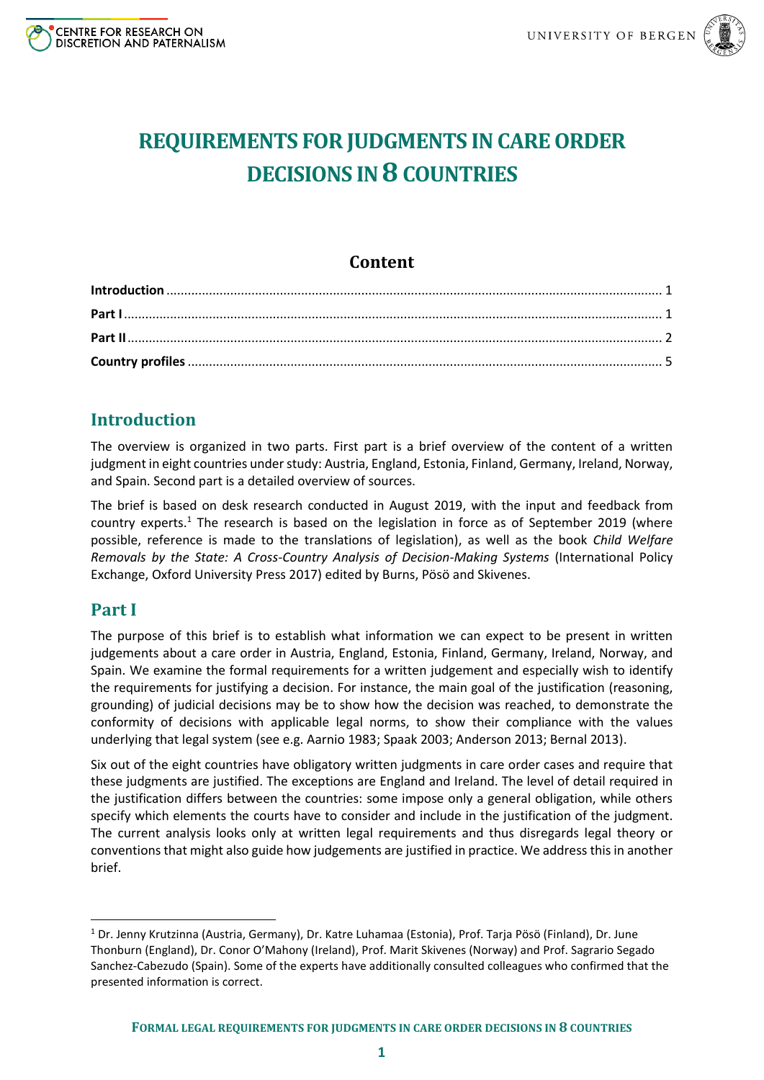



# **REQUIREMENTS FOR JUDGMENTS IN CARE ORDER DECISIONS IN 8COUNTRIES**

# **Content**

# <span id="page-0-0"></span>**Introduction**

The overview is organized in two parts. First part is a brief overview of the content of a written judgment in eight countries under study: Austria, England, Estonia, Finland, Germany, Ireland, Norway, and Spain. Second part is a detailed overview of sources.

The brief is based on desk research conducted in August 2019, with the input and feedback from country experts.<sup>1</sup> The research is based on the legislation in force as of September 2019 (where possible, reference is made to the translations of legislation), as well as the book *Child Welfare Removals by the State: A Cross-Country Analysis of Decision-Making Systems* (International Policy Exchange, Oxford University Press 2017) edited by Burns, Pösö and Skivenes.

# <span id="page-0-1"></span>**Part I**

**.** 

The purpose of this brief is to establish what information we can expect to be present in written judgements about a care order in Austria, England, Estonia, Finland, Germany, Ireland, Norway, and Spain. We examine the formal requirements for a written judgement and especially wish to identify the requirements for justifying a decision. For instance, the main goal of the justification (reasoning, grounding) of judicial decisions may be to show how the decision was reached, to demonstrate the conformity of decisions with applicable legal norms, to show their compliance with the values underlying that legal system (see e.g. Aarnio 1983; Spaak 2003; Anderson 2013; Bernal 2013).

Six out of the eight countries have obligatory written judgments in care order cases and require that these judgments are justified. The exceptions are England and Ireland. The level of detail required in the justification differs between the countries: some impose only a general obligation, while others specify which elements the courts have to consider and include in the justification of the judgment. The current analysis looks only at written legal requirements and thus disregards legal theory or conventions that might also guide how judgements are justified in practice. We address this in another brief.

<sup>1</sup> Dr. Jenny Krutzinna (Austria, Germany), Dr. Katre Luhamaa (Estonia), Prof. Tarja Pösö (Finland), Dr. June Thonburn (England), Dr. Conor O'Mahony (Ireland), Prof. Marit Skivenes (Norway) and Prof. Sagrario Segado Sanchez-Cabezudo (Spain). Some of the experts have additionally consulted colleagues who confirmed that the presented information is correct.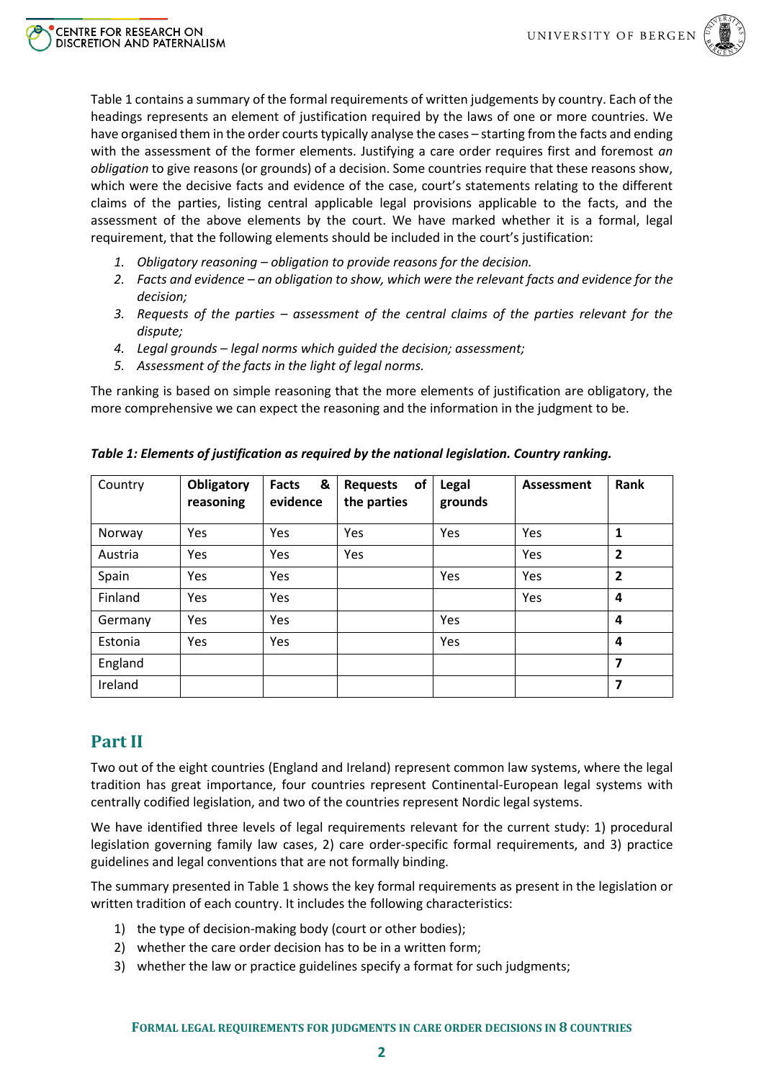

Table 1 contains a summary of the formal requirements of written judgements by country. Each of the headings represents an element of justification required by the laws of one or more countries. We have organised them in the order courts typically analyse the cases – starting from the facts and ending with the assessment of the former elements. Justifying a care order requires first and foremost *an obligation* to give reasons (or grounds) of a decision. Some countries require that these reasons show, which were the decisive facts and evidence of the case, court's statements relating to the different claims of the parties, listing central applicable legal provisions applicable to the facts, and the assessment of the above elements by the court. We have marked whether it is a formal, legal requirement, that the following elements should be included in the court's justification:

- *1. Obligatory reasoning – obligation to provide reasons for the decision.*
- *2. Facts and evidence – an obligation to show, which were the relevant facts and evidence for the decision;*
- *3. Requests of the parties – assessment of the central claims of the parties relevant for the dispute;*
- *4. Legal grounds – legal norms which guided the decision; assessment;*
- *5. Assessment of the facts in the light of legal norms.*

The ranking is based on simple reasoning that the more elements of justification are obligatory, the more comprehensive we can expect the reasoning and the information in the judgment to be.

| Country | Obligatory<br>reasoning | &<br><b>Facts</b><br>evidence | of<br><b>Requests</b><br>the parties | <b>Legal</b><br>grounds | Assessment | <b>Rank</b>             |
|---------|-------------------------|-------------------------------|--------------------------------------|-------------------------|------------|-------------------------|
| Norway  | Yes                     | Yes                           | Yes                                  | Yes                     | Yes        | 1                       |
| Austria | Yes                     | Yes                           | Yes                                  |                         | Yes        | $\overline{2}$          |
| Spain   | Yes                     | Yes                           |                                      | Yes                     | Yes        | $\overline{2}$          |
| Finland | Yes                     | Yes                           |                                      |                         | Yes        | 4                       |
| Germany | Yes                     | Yes                           |                                      | Yes                     |            | 4                       |
| Estonia | Yes                     | Yes                           |                                      | Yes                     |            | 4                       |
| England |                         |                               |                                      |                         |            | $\overline{\mathbf{z}}$ |
| Ireland |                         |                               |                                      |                         |            | $\overline{\mathbf{z}}$ |

*Table 1: Elements of justification as required by the national legislation. Country ranking.*

# <span id="page-1-0"></span>**Part II**

Two out of the eight countries (England and Ireland) represent common law systems, where the legal tradition has great importance, four countries represent Continental-European legal systems with centrally codified legislation, and two of the countries represent Nordic legal systems.

We have identified three levels of legal requirements relevant for the current study: 1) procedural legislation governing family law cases, 2) care order-specific formal requirements, and 3) practice guidelines and legal conventions that are not formally binding.

The summary presented in Table 1 shows the key formal requirements as present in the legislation or written tradition of each country. It includes the following characteristics:

- 1) the type of decision-making body (court or other bodies);
- 2) whether the care order decision has to be in a written form;
- 3) whether the law or practice guidelines specify a format for such judgments;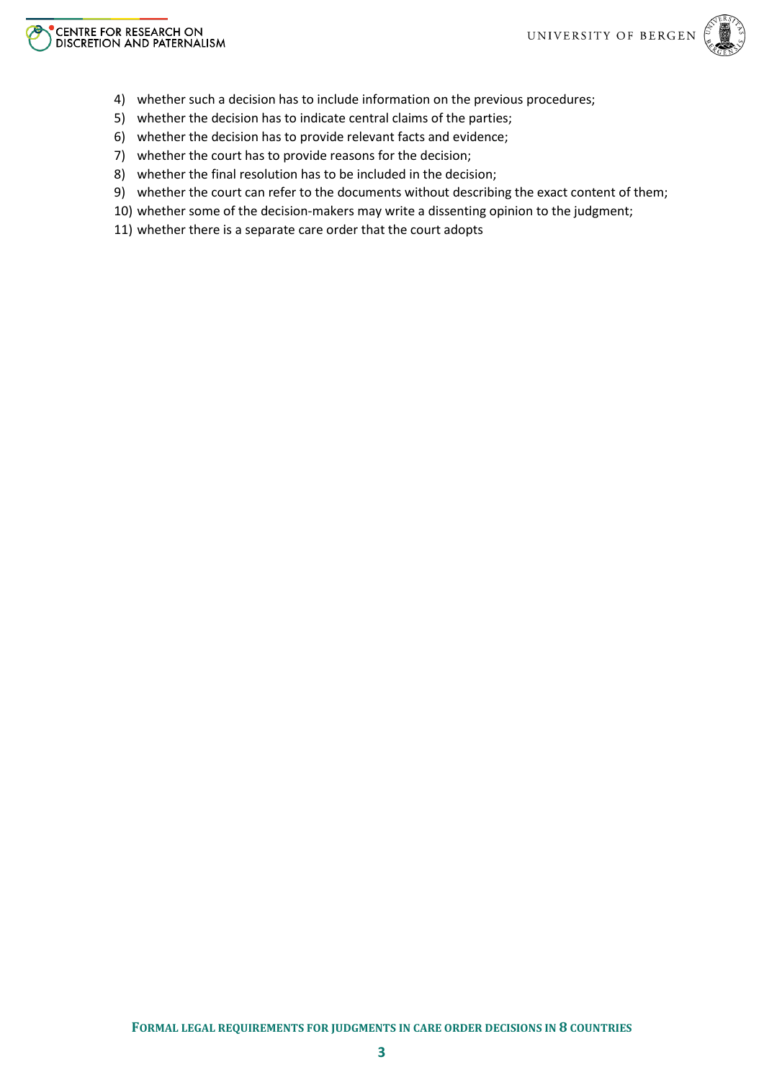



- 4) whether such a decision has to include information on the previous procedures;
- 5) whether the decision has to indicate central claims of the parties;
- 6) whether the decision has to provide relevant facts and evidence;
- 7) whether the court has to provide reasons for the decision;
- 8) whether the final resolution has to be included in the decision;
- 9) whether the court can refer to the documents without describing the exact content of them;
- 10) whether some of the decision-makers may write a dissenting opinion to the judgment;
- 11) whether there is a separate care order that the court adopts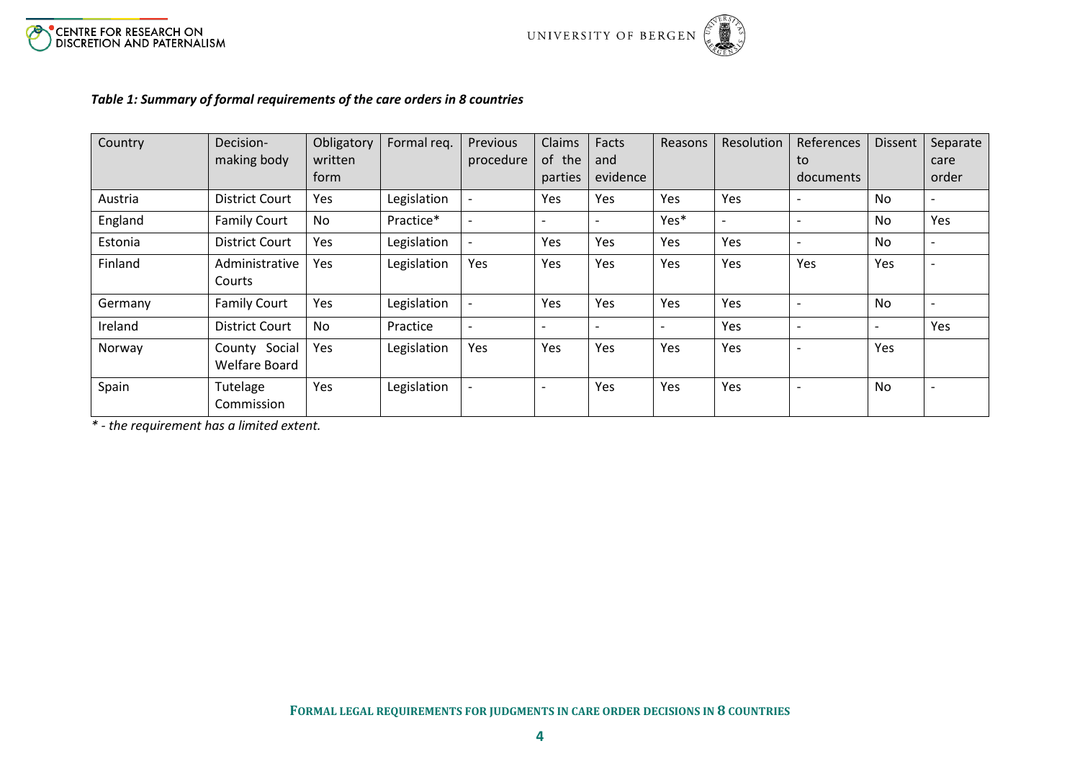



### *Table 1: Summary of formal requirements of the care orders in 8 countries*

| Country | Decision-             | Obligatory | Formal req. | Previous                 | Claims                   | Facts                    | Reasons                  | Resolution               | References     | <b>Dissent</b>           | Separate                 |
|---------|-----------------------|------------|-------------|--------------------------|--------------------------|--------------------------|--------------------------|--------------------------|----------------|--------------------------|--------------------------|
|         | making body           | written    |             | procedure                | of the                   | and                      |                          |                          | to             |                          | care                     |
|         |                       | form       |             |                          | parties                  | evidence                 |                          |                          | documents      |                          | order                    |
| Austria | <b>District Court</b> | Yes        | Legislation |                          | Yes                      | Yes                      | <b>Yes</b>               | Yes                      |                | No.                      | $\overline{\phantom{a}}$ |
| England | <b>Family Court</b>   | No         | Practice*   |                          | $\overline{\phantom{a}}$ | $\overline{\phantom{a}}$ | Yes*                     | $\overline{\phantom{a}}$ |                | <b>No</b>                | Yes                      |
| Estonia | <b>District Court</b> | Yes        | Legislation | $\overline{\phantom{a}}$ | Yes                      | Yes                      | Yes                      | Yes                      |                | No                       | $\overline{\phantom{a}}$ |
| Finland | Administrative        | Yes        | Legislation | Yes                      | Yes                      | Yes                      | Yes                      | Yes                      | Yes            | Yes                      | $\overline{\phantom{a}}$ |
|         | Courts                |            |             |                          |                          |                          |                          |                          |                |                          |                          |
| Germany | <b>Family Court</b>   | Yes        | Legislation |                          | Yes                      | Yes                      | Yes                      | Yes                      |                | No                       | $\overline{\phantom{a}}$ |
| Ireland | <b>District Court</b> | No         | Practice    | $\overline{\phantom{0}}$ | $\overline{\phantom{a}}$ | $\overline{\phantom{a}}$ | $\overline{\phantom{0}}$ | Yes                      | $\blacksquare$ | $\overline{\phantom{a}}$ | Yes                      |
| Norway  | County Social         | Yes        | Legislation | Yes                      | Yes                      | Yes                      | Yes                      | Yes                      |                | Yes                      |                          |
|         | <b>Welfare Board</b>  |            |             |                          |                          |                          |                          |                          |                |                          |                          |
| Spain   | Tutelage              | Yes        | Legislation |                          | $\overline{\phantom{a}}$ | Yes                      | Yes                      | Yes                      |                | No                       | $\overline{\phantom{a}}$ |
|         | Commission            |            |             |                          |                          |                          |                          |                          |                |                          |                          |

<span id="page-3-0"></span>*\* - the requirement has a limited extent.*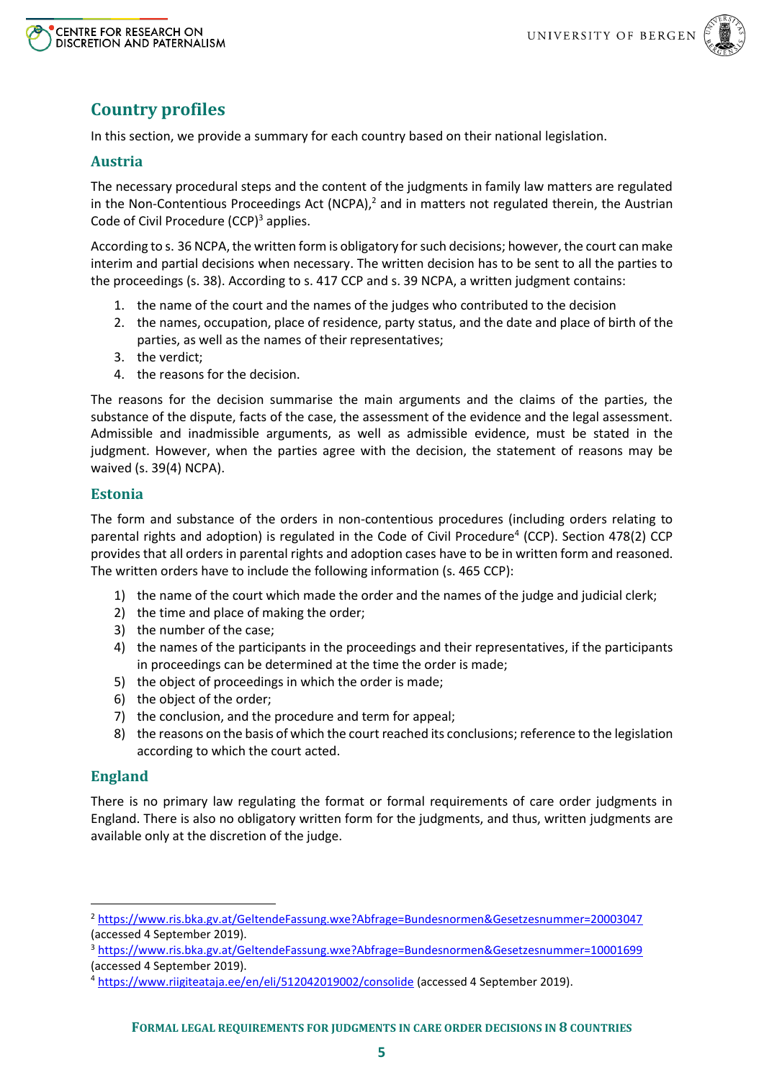



# **Country profiles**

In this section, we provide a summary for each country based on their national legislation.

### **Austria**

The necessary procedural steps and the content of the judgments in family law matters are regulated in the Non-Contentious Proceedings Act (NCPA), $<sup>2</sup>$  and in matters not regulated therein, the Austrian</sup> Code of Civil Procedure  $(CCP)^3$  applies.

According to s. 36 NCPA, the written form is obligatory for such decisions; however, the court can make interim and partial decisions when necessary. The written decision has to be sent to all the parties to the proceedings (s. 38). According to s. 417 CCP and s. 39 NCPA, a written judgment contains:

- 1. the name of the court and the names of the judges who contributed to the decision
- 2. the names, occupation, place of residence, party status, and the date and place of birth of the parties, as well as the names of their representatives;
- 3. the verdict;
- 4. the reasons for the decision.

The reasons for the decision summarise the main arguments and the claims of the parties, the substance of the dispute, facts of the case, the assessment of the evidence and the legal assessment. Admissible and inadmissible arguments, as well as admissible evidence, must be stated in the judgment. However, when the parties agree with the decision, the statement of reasons may be waived (s. 39(4) NCPA).

#### **Estonia**

The form and substance of the orders in non-contentious procedures (including orders relating to parental rights and adoption) is regulated in the Code of Civil Procedure<sup>4</sup> (CCP). Section 478(2) CCP provides that all orders in parental rights and adoption cases have to be in written form and reasoned. The written orders have to include the following information (s. 465 CCP):

- 1) the name of the court which made the order and the names of the judge and judicial clerk;
- 2) the time and place of making the order;
- 3) the number of the case;
- 4) the names of the participants in the proceedings and their representatives, if the participants in proceedings can be determined at the time the order is made;
- 5) the object of proceedings in which the order is made;
- 6) the object of the order;
- 7) the conclusion, and the procedure and term for appeal;
- 8) the reasons on the basis of which the court reached its conclusions; reference to the legislation according to which the court acted.

#### **England**

**.** 

There is no primary law regulating the format or formal requirements of care order judgments in England. There is also no obligatory written form for the judgments, and thus, written judgments are available only at the discretion of the judge.

<sup>2</sup> <https://www.ris.bka.gv.at/GeltendeFassung.wxe?Abfrage=Bundesnormen&Gesetzesnummer=20003047> (accessed 4 September 2019).

<sup>3</sup> <https://www.ris.bka.gv.at/GeltendeFassung.wxe?Abfrage=Bundesnormen&Gesetzesnummer=10001699> (accessed 4 September 2019).

<sup>4</sup> <https://www.riigiteataja.ee/en/eli/512042019002/consolide> (accessed 4 September 2019).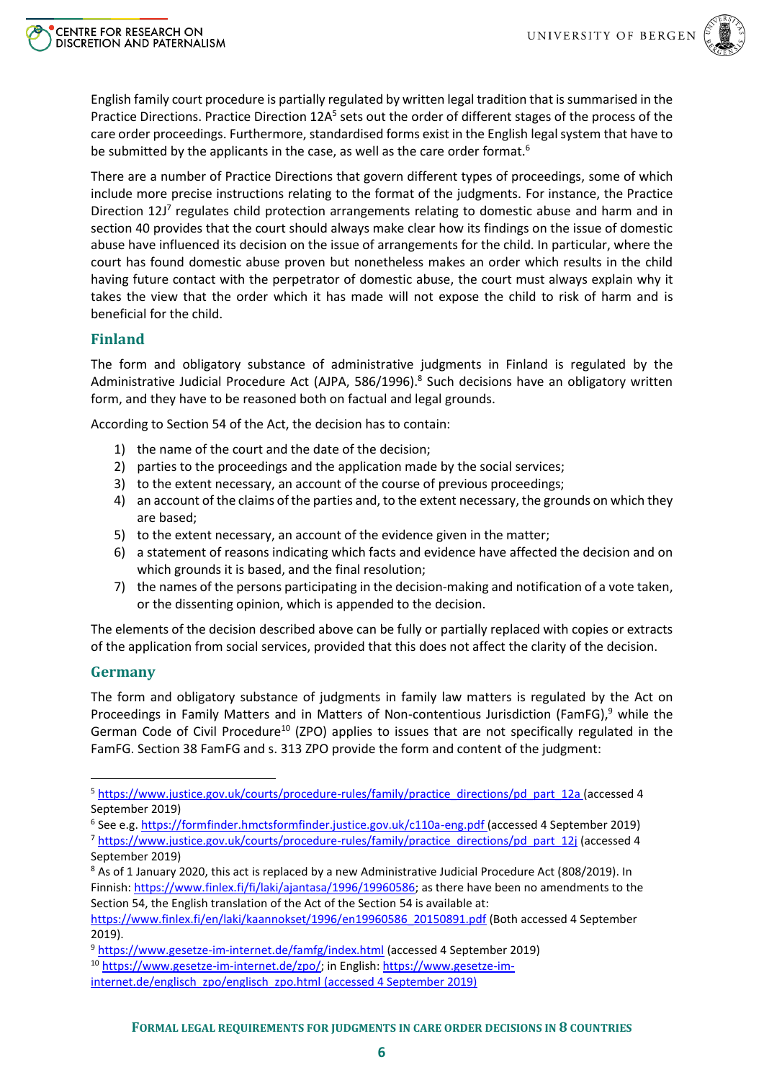

English family court procedure is partially regulated by written legal tradition that is summarised in the Practice Directions. Practice Direction 12A<sup>5</sup> sets out the order of different stages of the process of the care order proceedings. Furthermore, standardised forms exist in the English legal system that have to be submitted by the applicants in the case, as well as the care order format.<sup>6</sup>

There are a number of Practice Directions that govern different types of proceedings, some of which include more precise instructions relating to the format of the judgments. For instance, the Practice Direction 12J<sup>7</sup> regulates child protection arrangements relating to domestic abuse and harm and in section 40 provides that the court should always make clear how its findings on the issue of domestic abuse have influenced its decision on the issue of arrangements for the child. In particular, where the court has found domestic abuse proven but nonetheless makes an order which results in the child having future contact with the perpetrator of domestic abuse, the court must always explain why it takes the view that the order which it has made will not expose the child to risk of harm and is beneficial for the child.

### **Finland**

The form and obligatory substance of administrative judgments in Finland is regulated by the Administrative Judicial Procedure Act (AJPA, 586/1996).<sup>8</sup> Such decisions have an obligatory written form, and they have to be reasoned both on factual and legal grounds.

According to Section 54 of the Act, the decision has to contain:

- 1) the name of the court and the date of the decision;
- 2) parties to the proceedings and the application made by the social services;
- 3) to the extent necessary, an account of the course of previous proceedings;
- 4) an account of the claims of the parties and, to the extent necessary, the grounds on which they are based;
- 5) to the extent necessary, an account of the evidence given in the matter;
- 6) a statement of reasons indicating which facts and evidence have affected the decision and on which grounds it is based, and the final resolution;
- 7) the names of the persons participating in the decision-making and notification of a vote taken, or the dissenting opinion, which is appended to the decision.

The elements of the decision described above can be fully or partially replaced with copies or extracts of the application from social services, provided that this does not affect the clarity of the decision.

## **Germany**

1

The form and obligatory substance of judgments in family law matters is regulated by the Act on Proceedings in Family Matters and in Matters of Non-contentious Jurisdiction (FamFG),<sup>9</sup> while the German Code of Civil Procedure<sup>10</sup> (ZPO) applies to issues that are not specifically regulated in the FamFG. Section 38 FamFG and s. 313 ZPO provide the form and content of the judgment:

<sup>5</sup> [https://www.justice.gov.uk/courts/procedure-rules/family/practice\\_directions/pd\\_part\\_12a](https://www.justice.gov.uk/courts/procedure-rules/family/practice_directions/pd_part_12a) (accessed 4 September 2019)

<sup>&</sup>lt;sup>6</sup> See e.g. <u>https://formfinder.hmctsformfinder.justice.gov.uk/c110a-eng.pdf (</u>accessed 4 September 2019) <sup>7</sup> [https://www.justice.gov.uk/courts/procedure-rules/family/practice\\_directions/pd\\_part\\_12j](https://www.justice.gov.uk/courts/procedure-rules/family/practice_directions/pd_part_12j) (accessed 4 September 2019)

<sup>&</sup>lt;sup>8</sup> As of 1 January 2020, this act is replaced by a new Administrative Judicial Procedure Act (808/2019). In Finnish[: https://www.finlex.fi/fi/laki/ajantasa/1996/19960586;](https://www.finlex.fi/fi/laki/ajantasa/1996/19960586) as there have been no amendments to the Section 54, the English translation of the Act of the Section 54 is available at:

[https://www.finlex.fi/en/laki/kaannokset/1996/en19960586\\_20150891.pdf](https://www.finlex.fi/en/laki/kaannokset/1996/en19960586_20150891.pdf) (Both accessed 4 September 2019).

<sup>9</sup> <https://www.gesetze-im-internet.de/famfg/index.html> (accessed 4 September 2019)

<sup>&</sup>lt;sup>10</sup> [https://www.gesetze-im-internet.de/zpo/;](https://www.gesetze-im-internet.de/zpo/) in English[: https://www.gesetze-im-](https://www.gesetze-im-internet.de/englisch_zpo/englisch_zpo.html)

[internet.de/englisch\\_zpo/englisch\\_zpo.html](https://www.gesetze-im-internet.de/englisch_zpo/englisch_zpo.html) (accessed 4 September 2019)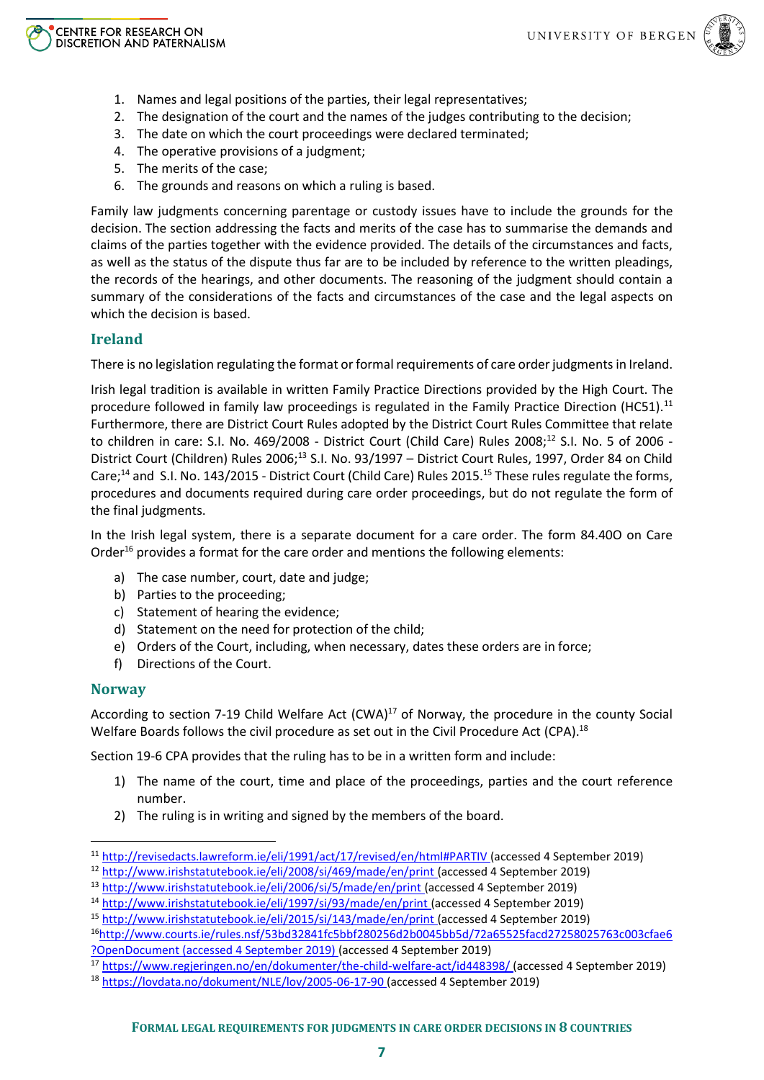

- 1. Names and legal positions of the parties, their legal representatives;
- 2. The designation of the court and the names of the judges contributing to the decision;
- 3. The date on which the court proceedings were declared terminated;
- 4. The operative provisions of a judgment;
- 5. The merits of the case;
- 6. The grounds and reasons on which a ruling is based.

Family law judgments concerning parentage or custody issues have to include the grounds for the decision. The section addressing the facts and merits of the case has to summarise the demands and claims of the parties together with the evidence provided. The details of the circumstances and facts, as well as the status of the dispute thus far are to be included by reference to the written pleadings, the records of the hearings, and other documents. The reasoning of the judgment should contain a summary of the considerations of the facts and circumstances of the case and the legal aspects on which the decision is based.

### **Ireland**

There is no legislation regulating the format or formal requirements of care order judgments in Ireland.

Irish legal tradition is available in written Family Practice Directions provided by the High Court. The procedure followed in family law proceedings is regulated in the Family Practice Direction (HC51).<sup>11</sup> Furthermore, there are District Court Rules adopted by the District Court Rules Committee that relate to children in care: S.I. No. 469/2008 - District Court (Child Care) Rules 2008;<sup>12</sup> S.I. No. 5 of 2006 -District Court (Children) Rules 2006;<sup>13</sup> S.I. No. 93/1997 – District Court Rules, 1997, Order 84 on Child Care;<sup>14</sup> and S.I. No. 143/2015 - District Court (Child Care) Rules 2015.<sup>15</sup> These rules regulate the forms, procedures and documents required during care order proceedings, but do not regulate the form of the final judgments.

In the Irish legal system, there is a separate document for a care order. The form 84.40O on Care Order<sup>16</sup> provides a format for the care order and mentions the following elements:

- a) The case number, court, date and judge;
- b) Parties to the proceeding;
- c) Statement of hearing the evidence;
- d) Statement on the need for protection of the child;
- e) Orders of the Court, including, when necessary, dates these orders are in force;
- f) Directions of the Court.

### **Norway**

**.** 

According to section 7-19 Child Welfare Act  $(CWA)^{17}$  of Norway, the procedure in the county Social Welfare Boards follows the civil procedure as set out in the Civil Procedure Act (CPA).<sup>18</sup>

Section 19-6 CPA provides that the ruling has to be in a written form and include:

- 1) The name of the court, time and place of the proceedings, parties and the court reference number.
- 2) The ruling is in writing and signed by the members of the board.

<sup>11</sup> <http://revisedacts.lawreform.ie/eli/1991/act/17/revised/en/html#PARTIV> (accessed 4 September 2019)

<sup>12</sup> <http://www.irishstatutebook.ie/eli/2008/si/469/made/en/print> (accessed 4 September 2019)

<sup>13</sup> <http://www.irishstatutebook.ie/eli/2006/si/5/made/en/print> (accessed 4 September 2019)

<sup>14</sup> <http://www.irishstatutebook.ie/eli/1997/si/93/made/en/print> (accessed 4 September 2019)

<sup>&</sup>lt;sup>15</sup> <http://www.irishstatutebook.ie/eli/2015/si/143/made/en/print> (accessed 4 September 2019)

<sup>16</sup>[http://www.courts.ie/rules.nsf/53bd32841fc5bbf280256d2b0045bb5d/72a65525facd27258025763c003cfae6](http://www.courts.ie/rules.nsf/53bd32841fc5bbf280256d2b0045bb5d/72a65525facd27258025763c003cfae6?OpenDocument) [?OpenDocument](http://www.courts.ie/rules.nsf/53bd32841fc5bbf280256d2b0045bb5d/72a65525facd27258025763c003cfae6?OpenDocument) (accessed 4 September 2019) (accessed 4 September 2019)

<sup>&</sup>lt;sup>17</sup> <https://www.regjeringen.no/en/dokumenter/the-child-welfare-act/id448398/> (accessed 4 September 2019)

<sup>18</sup> <https://lovdata.no/dokument/NLE/lov/2005-06-17-90> (accessed 4 September 2019)